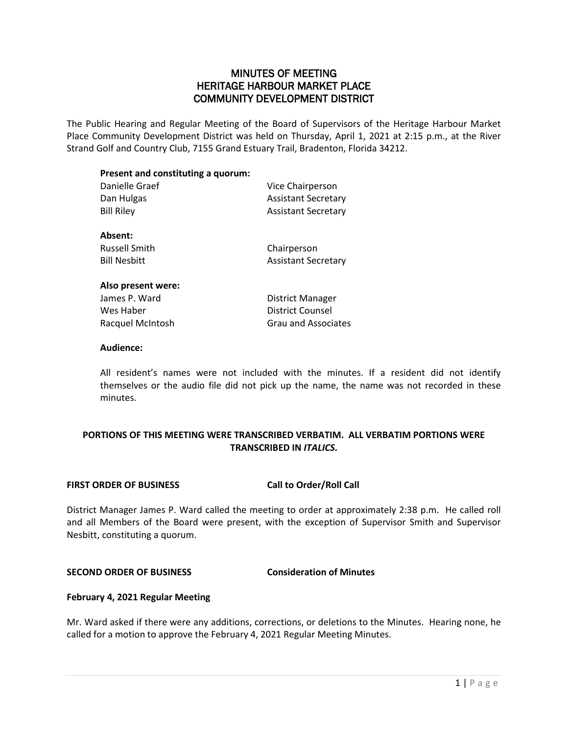### MINUTES OF MEETING HERITAGE HARBOUR MARKET PLACE COMMUNITY DEVELOPMENT DISTRICT

The Public Hearing and Regular Meeting of the Board of Supervisors of the Heritage Harbour Market Place Community Development District was held on Thursday, April 1, 2021 at 2:15 p.m., at the River Strand Golf and Country Club, 7155 Grand Estuary Trail, Bradenton, Florida 34212.

| Present and constituting a quorum: |                            |  |
|------------------------------------|----------------------------|--|
| Danielle Graef                     | Vice Chairperson           |  |
| Dan Hulgas                         | <b>Assistant Secretary</b> |  |
| <b>Bill Riley</b>                  | <b>Assistant Secretary</b> |  |
| Absent:                            |                            |  |
| <b>Russell Smith</b>               | Chairperson                |  |
| <b>Bill Nesbitt</b>                | <b>Assistant Secretary</b> |  |
| Also present were:                 |                            |  |
| James P. Ward                      | District Manager           |  |
| Wes Haber                          | District Counsel           |  |

Racquel McIntosh Grau and Associates

#### **Audience:**

All resident's names were not included with the minutes. If a resident did not identify themselves or the audio file did not pick up the name, the name was not recorded in these minutes.

#### **PORTIONS OF THIS MEETING WERE TRANSCRIBED VERBATIM. ALL VERBATIM PORTIONS WERE TRANSCRIBED IN** *ITALICS***.**

#### **FIRST ORDER OF BUSINESS Call to Order/Roll Call**

District Manager James P. Ward called the meeting to order at approximately 2:38 p.m. He called roll and all Members of the Board were present, with the exception of Supervisor Smith and Supervisor Nesbitt, constituting a quorum.

#### **SECOND ORDER OF BUSINESS Consideration of Minutes**

#### **February 4, 2021 Regular Meeting**

Mr. Ward asked if there were any additions, corrections, or deletions to the Minutes. Hearing none, he called for a motion to approve the February 4, 2021 Regular Meeting Minutes.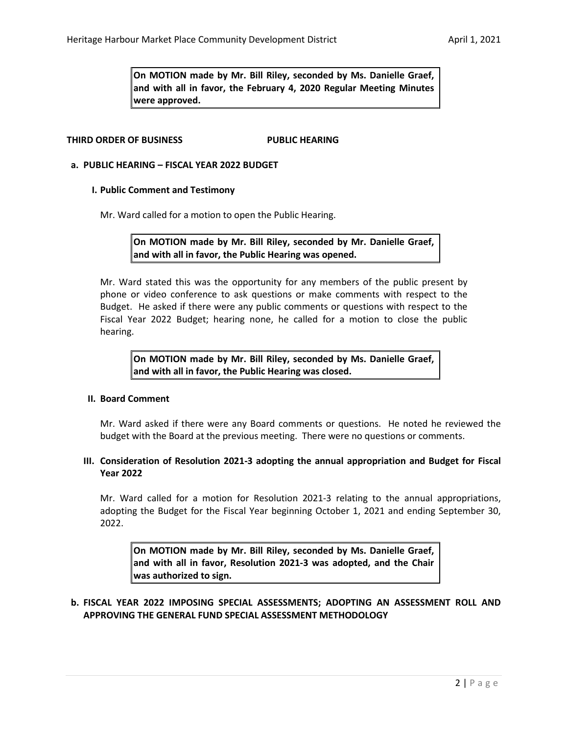**On MOTION made by Mr. Bill Riley, seconded by Ms. Danielle Graef, and with all in favor, the February 4, 2020 Regular Meeting Minutes were approved.** 

#### **THIRD ORDER OF BUSINESS PUBLIC HEARING**

#### **a. PUBLIC HEARING – FISCAL YEAR 2022 BUDGET**

#### **I. Public Comment and Testimony**

Mr. Ward called for a motion to open the Public Hearing.

**On MOTION made by Mr. Bill Riley, seconded by Mr. Danielle Graef, and with all in favor, the Public Hearing was opened.**

Mr. Ward stated this was the opportunity for any members of the public present by phone or video conference to ask questions or make comments with respect to the Budget. He asked if there were any public comments or questions with respect to the Fiscal Year 2022 Budget; hearing none, he called for a motion to close the public hearing.

**On MOTION made by Mr. Bill Riley, seconded by Ms. Danielle Graef, and with all in favor, the Public Hearing was closed.**

#### **II. Board Comment**

Mr. Ward asked if there were any Board comments or questions. He noted he reviewed the budget with the Board at the previous meeting. There were no questions or comments.

#### **III. Consideration of Resolution 2021-3 adopting the annual appropriation and Budget for Fiscal Year 2022**

Mr. Ward called for a motion for Resolution 2021-3 relating to the annual appropriations, adopting the Budget for the Fiscal Year beginning October 1, 2021 and ending September 30, 2022.

**On MOTION made by Mr. Bill Riley, seconded by Ms. Danielle Graef, and with all in favor, Resolution 2021-3 was adopted, and the Chair was authorized to sign.** 

#### **b. FISCAL YEAR 2022 IMPOSING SPECIAL ASSESSMENTS; ADOPTING AN ASSESSMENT ROLL AND APPROVING THE GENERAL FUND SPECIAL ASSESSMENT METHODOLOGY**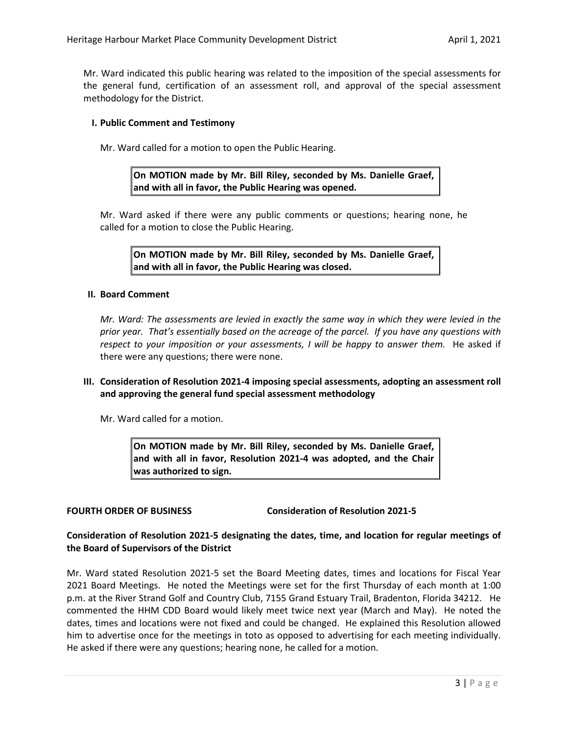Mr. Ward indicated this public hearing was related to the imposition of the special assessments for the general fund, certification of an assessment roll, and approval of the special assessment methodology for the District.

#### **I. Public Comment and Testimony**

Mr. Ward called for a motion to open the Public Hearing.

**On MOTION made by Mr. Bill Riley, seconded by Ms. Danielle Graef, and with all in favor, the Public Hearing was opened.**

Mr. Ward asked if there were any public comments or questions; hearing none, he called for a motion to close the Public Hearing.

**On MOTION made by Mr. Bill Riley, seconded by Ms. Danielle Graef, and with all in favor, the Public Hearing was closed.**

#### **II. Board Comment**

*Mr. Ward: The assessments are levied in exactly the same way in which they were levied in the prior year. That's essentially based on the acreage of the parcel. If you have any questions with*  respect to your imposition or your assessments, I will be happy to answer them. He asked if there were any questions; there were none.

#### **III. Consideration of Resolution 2021-4 imposing special assessments, adopting an assessment roll and approving the general fund special assessment methodology**

Mr. Ward called for a motion.

**On MOTION made by Mr. Bill Riley, seconded by Ms. Danielle Graef, and with all in favor, Resolution 2021-4 was adopted, and the Chair was authorized to sign.** 

#### **FOURTH ORDER OF BUSINESS Consideration of Resolution 2021-5**

#### **Consideration of Resolution 2021-5 designating the dates, time, and location for regular meetings of the Board of Supervisors of the District**

Mr. Ward stated Resolution 2021-5 set the Board Meeting dates, times and locations for Fiscal Year 2021 Board Meetings. He noted the Meetings were set for the first Thursday of each month at 1:00 p.m. at the River Strand Golf and Country Club, 7155 Grand Estuary Trail, Bradenton, Florida 34212. He commented the HHM CDD Board would likely meet twice next year (March and May). He noted the dates, times and locations were not fixed and could be changed. He explained this Resolution allowed him to advertise once for the meetings in toto as opposed to advertising for each meeting individually. He asked if there were any questions; hearing none, he called for a motion.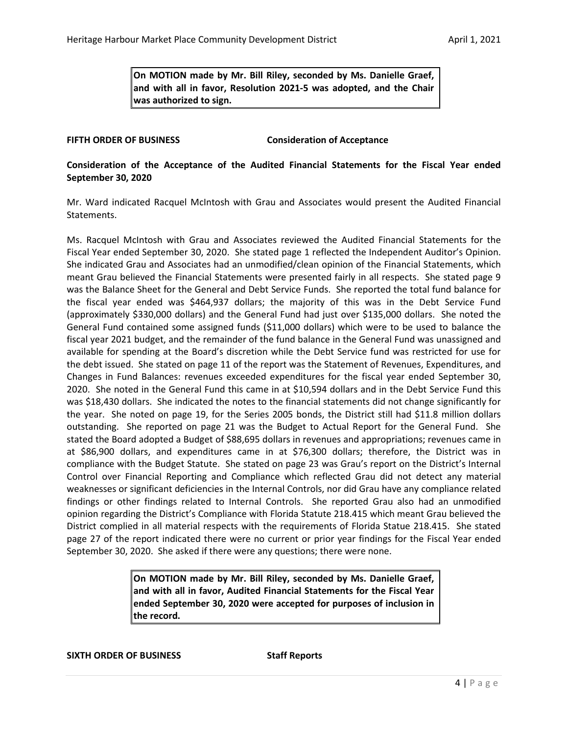**On MOTION made by Mr. Bill Riley, seconded by Ms. Danielle Graef, and with all in favor, Resolution 2021-5 was adopted, and the Chair was authorized to sign.** 

#### **FIFTH ORDER OF BUSINESS Consideration of Acceptance**

#### **Consideration of the Acceptance of the Audited Financial Statements for the Fiscal Year ended September 30, 2020**

Mr. Ward indicated Racquel McIntosh with Grau and Associates would present the Audited Financial Statements.

Ms. Racquel McIntosh with Grau and Associates reviewed the Audited Financial Statements for the Fiscal Year ended September 30, 2020. She stated page 1 reflected the Independent Auditor's Opinion. She indicated Grau and Associates had an unmodified/clean opinion of the Financial Statements, which meant Grau believed the Financial Statements were presented fairly in all respects. She stated page 9 was the Balance Sheet for the General and Debt Service Funds. She reported the total fund balance for the fiscal year ended was \$464,937 dollars; the majority of this was in the Debt Service Fund (approximately \$330,000 dollars) and the General Fund had just over \$135,000 dollars. She noted the General Fund contained some assigned funds (\$11,000 dollars) which were to be used to balance the fiscal year 2021 budget, and the remainder of the fund balance in the General Fund was unassigned and available for spending at the Board's discretion while the Debt Service fund was restricted for use for the debt issued. She stated on page 11 of the report was the Statement of Revenues, Expenditures, and Changes in Fund Balances: revenues exceeded expenditures for the fiscal year ended September 30, 2020. She noted in the General Fund this came in at \$10,594 dollars and in the Debt Service Fund this was \$18,430 dollars. She indicated the notes to the financial statements did not change significantly for the year. She noted on page 19, for the Series 2005 bonds, the District still had \$11.8 million dollars outstanding. She reported on page 21 was the Budget to Actual Report for the General Fund. She stated the Board adopted a Budget of \$88,695 dollars in revenues and appropriations; revenues came in at \$86,900 dollars, and expenditures came in at \$76,300 dollars; therefore, the District was in compliance with the Budget Statute. She stated on page 23 was Grau's report on the District's Internal Control over Financial Reporting and Compliance which reflected Grau did not detect any material weaknesses or significant deficiencies in the Internal Controls, nor did Grau have any compliance related findings or other findings related to Internal Controls. She reported Grau also had an unmodified opinion regarding the District's Compliance with Florida Statute 218.415 which meant Grau believed the District complied in all material respects with the requirements of Florida Statue 218.415. She stated page 27 of the report indicated there were no current or prior year findings for the Fiscal Year ended September 30, 2020. She asked if there were any questions; there were none.

> **On MOTION made by Mr. Bill Riley, seconded by Ms. Danielle Graef, and with all in favor, Audited Financial Statements for the Fiscal Year ended September 30, 2020 were accepted for purposes of inclusion in the record.**

#### **SIXTH ORDER OF BUSINESS Staff Reports**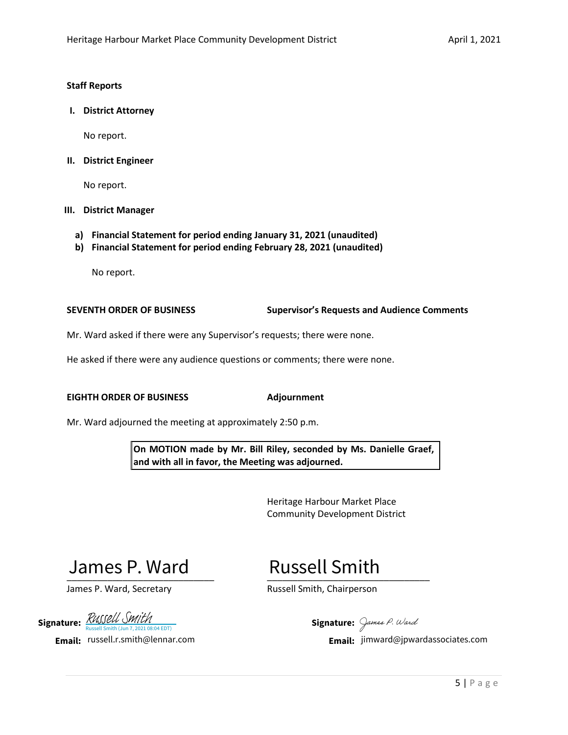#### **Staff Reports**

**I. District Attorney**

No report.

**II. District Engineer**

No report.

#### **III. District Manager**

- **a) Financial Statement for period ending January 31, 2021 (unaudited)**
- **b) Financial Statement for period ending February 28, 2021 (unaudited)**

No report.

**SEVENTH ORDER OF BUSINESS Supervisor's Requests and Audience Comments**

Mr. Ward asked if there were any Supervisor's requests; there were none.

He asked if there were any audience questions or comments; there were none.

#### **EIGHTH ORDER OF BUSINESS Adjournment**

Mr. Ward adjourned the meeting at approximately 2:50 p.m.

**On MOTION made by Mr. Bill Riley, seconded by Ms. Danielle Graef, and with all in favor, the Meeting was adjourned.**

> Heritage Harbour Market Place Community Development District

**James P. Ward Russell Smith**<br>James P. Ward, Secretary Russell Smith, Chairperson<br>Inter: *Russell Smith (Jun 7, 2021 08:04 EDT)*<br>**ail:** russell.r.smith@lennar.com **James P. Ward Email:** jimward@jpwardassociates.com

 $\frac{1}{2}$ 

James P. Ward, Secretary **Russell Smith, Chairperson** 

**Signature: AUJUU OMIUI**<br>Russell Smith (Jun 7, 2021 08:04 EDT) [Russell Smith](https://na2.documents.adobe.com/verifier?tx=CBJCHBCAABAAPGW-IKWQJ50q_Ctrh46mlZvamlbUSyA6)

**Email:** russell.r.smith@lennar.com

Signature: James P. Ward

Email: jimward@jpwardassociates.com